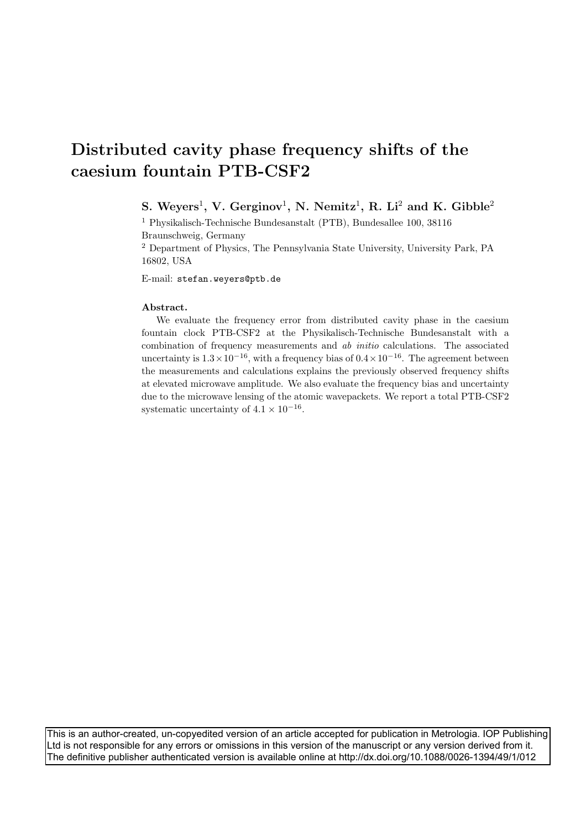# Distributed cavity phase frequency shifts of the caesium fountain PTB-CSF2

## S. Weyers<sup>1</sup>, V. Gerginov<sup>1</sup>, N. Nemitz<sup>1</sup>, R. Li<sup>2</sup> and K. Gibble<sup>2</sup>

<sup>1</sup> Physikalisch-Technische Bundesanstalt (PTB), Bundesallee 100, 38116 Braunschweig, Germany

<sup>2</sup> Department of Physics, The Pennsylvania State University, University Park, PA 16802, USA

E-mail: stefan.weyers@ptb.de

#### Abstract.

We evaluate the frequency error from distributed cavity phase in the caesium fountain clock PTB-CSF2 at the Physikalisch-Technische Bundesanstalt with a combination of frequency measurements and ab initio calculations. The associated uncertainty is  $1.3 \times 10^{-16}$ , with a frequency bias of  $0.4 \times 10^{-16}$ . The agreement between the measurements and calculations explains the previously observed frequency shifts at elevated microwave amplitude. We also evaluate the frequency bias and uncertainty due to the microwave lensing of the atomic wavepackets. We report a total PTB-CSF2 systematic uncertainty of  $4.1 \times 10^{-16}$ .

This is an author-created, un-copyedited version of an article accepted for publication in Metrologia. IOP Publishing Ltd is not responsible for any errors or omissions in this version of the manuscript or any version derived from it. The definitive publisher authenticated version is available online at http://dx.doi.org/10.1088/0026-1394/49/1/012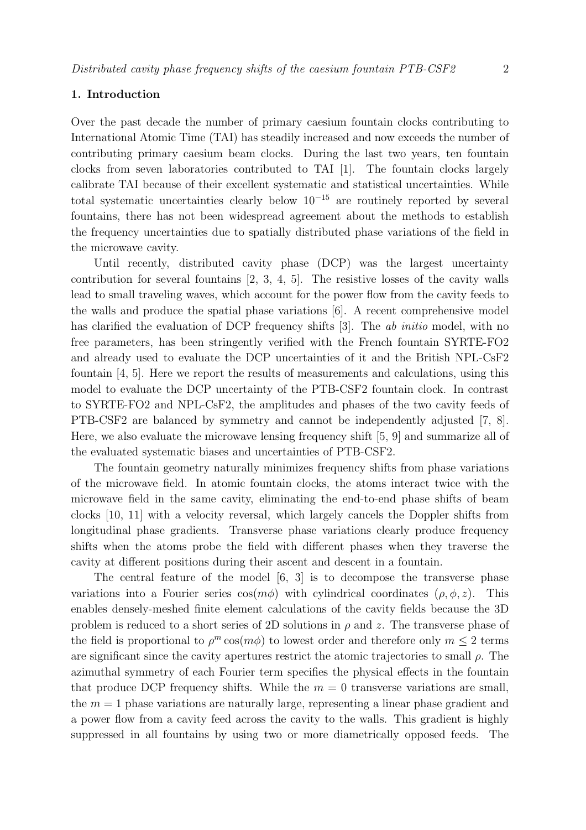## 1. Introduction

Over the past decade the number of primary caesium fountain clocks contributing to International Atomic Time (TAI) has steadily increased and now exceeds the number of contributing primary caesium beam clocks. During the last two years, ten fountain clocks from seven laboratories contributed to TAI [1]. The fountain clocks largely calibrate TAI because of their excellent systematic and statistical uncertainties. While total systematic uncertainties clearly below  $10^{-15}$  are routinely reported by several fountains, there has not been widespread agreement about the methods to establish the frequency uncertainties due to spatially distributed phase variations of the field in the microwave cavity.

Until recently, distributed cavity phase (DCP) was the largest uncertainty contribution for several fountains [2, 3, 4, 5]. The resistive losses of the cavity walls lead to small traveling waves, which account for the power flow from the cavity feeds to the walls and produce the spatial phase variations [6]. A recent comprehensive model has clarified the evaluation of DCP frequency shifts [3]. The *ab initio* model, with no free parameters, has been stringently verified with the French fountain SYRTE-FO2 and already used to evaluate the DCP uncertainties of it and the British NPL-CsF2 fountain [4, 5]. Here we report the results of measurements and calculations, using this model to evaluate the DCP uncertainty of the PTB-CSF2 fountain clock. In contrast to SYRTE-FO2 and NPL-CsF2, the amplitudes and phases of the two cavity feeds of PTB-CSF2 are balanced by symmetry and cannot be independently adjusted [7, 8]. Here, we also evaluate the microwave lensing frequency shift [5, 9] and summarize all of the evaluated systematic biases and uncertainties of PTB-CSF2.

The fountain geometry naturally minimizes frequency shifts from phase variations of the microwave field. In atomic fountain clocks, the atoms interact twice with the microwave field in the same cavity, eliminating the end-to-end phase shifts of beam clocks [10, 11] with a velocity reversal, which largely cancels the Doppler shifts from longitudinal phase gradients. Transverse phase variations clearly produce frequency shifts when the atoms probe the field with different phases when they traverse the cavity at different positions during their ascent and descent in a fountain.

The central feature of the model [6, 3] is to decompose the transverse phase variations into a Fourier series  $\cos(m\phi)$  with cylindrical coordinates  $(\rho, \phi, z)$ . This enables densely-meshed finite element calculations of the cavity fields because the 3D problem is reduced to a short series of 2D solutions in  $\rho$  and z. The transverse phase of the field is proportional to  $\rho^m \cos(m\phi)$  to lowest order and therefore only  $m \leq 2$  terms are significant since the cavity apertures restrict the atomic trajectories to small  $\rho$ . The azimuthal symmetry of each Fourier term specifies the physical effects in the fountain that produce DCP frequency shifts. While the  $m = 0$  transverse variations are small, the  $m = 1$  phase variations are naturally large, representing a linear phase gradient and a power flow from a cavity feed across the cavity to the walls. This gradient is highly suppressed in all fountains by using two or more diametrically opposed feeds. The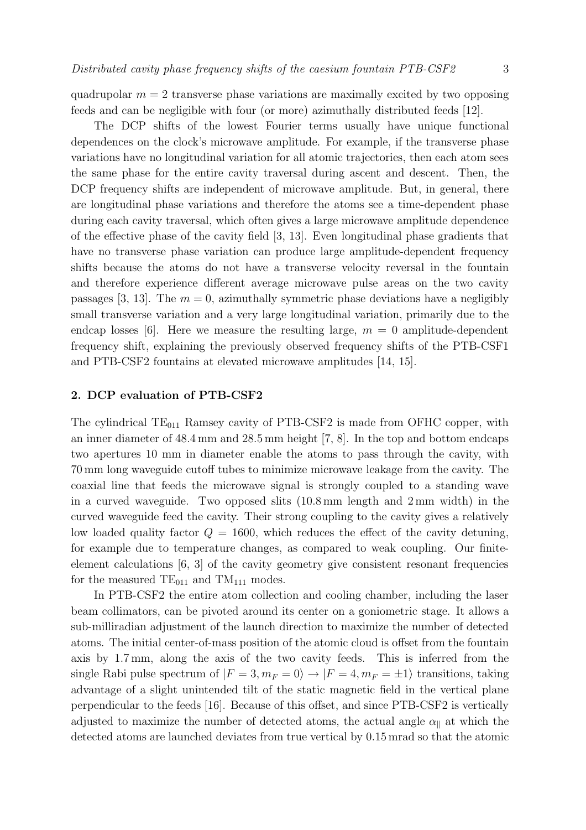quadrupolar  $m = 2$  transverse phase variations are maximally excited by two opposing feeds and can be negligible with four (or more) azimuthally distributed feeds [12].

The DCP shifts of the lowest Fourier terms usually have unique functional dependences on the clock's microwave amplitude. For example, if the transverse phase variations have no longitudinal variation for all atomic trajectories, then each atom sees the same phase for the entire cavity traversal during ascent and descent. Then, the DCP frequency shifts are independent of microwave amplitude. But, in general, there are longitudinal phase variations and therefore the atoms see a time-dependent phase during each cavity traversal, which often gives a large microwave amplitude dependence of the effective phase of the cavity field [3, 13]. Even longitudinal phase gradients that have no transverse phase variation can produce large amplitude-dependent frequency shifts because the atoms do not have a transverse velocity reversal in the fountain and therefore experience different average microwave pulse areas on the two cavity passages [3, 13]. The  $m = 0$ , azimuthally symmetric phase deviations have a negligibly small transverse variation and a very large longitudinal variation, primarily due to the endcap losses [6]. Here we measure the resulting large,  $m = 0$  amplitude-dependent frequency shift, explaining the previously observed frequency shifts of the PTB-CSF1 and PTB-CSF2 fountains at elevated microwave amplitudes [14, 15].

## 2. DCP evaluation of PTB-CSF2

The cylindrical  $TE_{011}$  Ramsey cavity of PTB-CSF2 is made from OFHC copper, with an inner diameter of 48.4 mm and 28.5 mm height [7, 8]. In the top and bottom endcaps two apertures 10 mm in diameter enable the atoms to pass through the cavity, with 70 mm long waveguide cutoff tubes to minimize microwave leakage from the cavity. The coaxial line that feeds the microwave signal is strongly coupled to a standing wave in a curved waveguide. Two opposed slits (10.8 mm length and 2 mm width) in the curved waveguide feed the cavity. Their strong coupling to the cavity gives a relatively low loaded quality factor  $Q = 1600$ , which reduces the effect of the cavity detuning, for example due to temperature changes, as compared to weak coupling. Our finiteelement calculations [6, 3] of the cavity geometry give consistent resonant frequencies for the measured  $TE_{011}$  and  $TM_{111}$  modes.

In PTB-CSF2 the entire atom collection and cooling chamber, including the laser beam collimators, can be pivoted around its center on a goniometric stage. It allows a sub-milliradian adjustment of the launch direction to maximize the number of detected atoms. The initial center-of-mass position of the atomic cloud is offset from the fountain axis by 1.7 mm, along the axis of the two cavity feeds. This is inferred from the single Rabi pulse spectrum of  $|F = 3, m_F = 0\rangle \rightarrow |F = 4, m_F = \pm 1\rangle$  transitions, taking advantage of a slight unintended tilt of the static magnetic field in the vertical plane perpendicular to the feeds [16]. Because of this offset, and since PTB-CSF2 is vertically adjusted to maximize the number of detected atoms, the actual angle  $\alpha_{\parallel}$  at which the detected atoms are launched deviates from true vertical by 0.15 mrad so that the atomic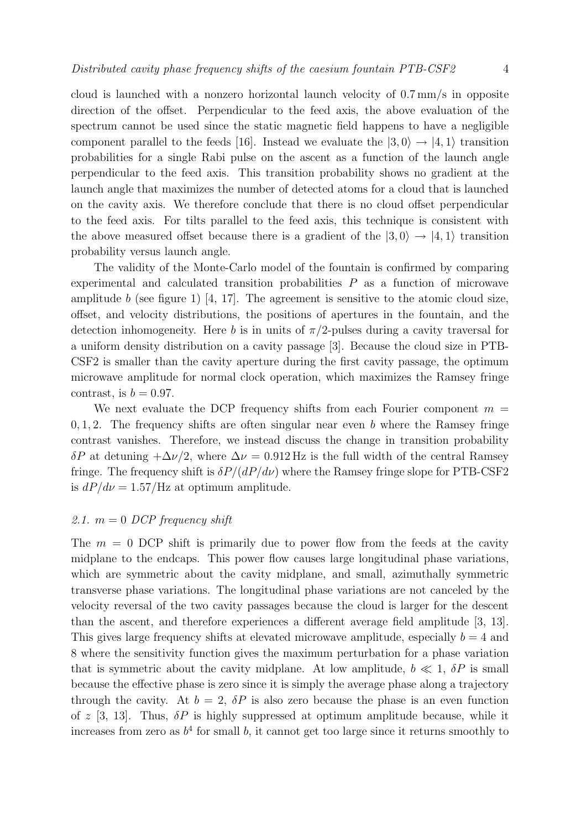cloud is launched with a nonzero horizontal launch velocity of 0.7 mm/s in opposite direction of the offset. Perpendicular to the feed axis, the above evaluation of the spectrum cannot be used since the static magnetic field happens to have a negligible component parallel to the feeds [16]. Instead we evaluate the  $|3,0\rangle \rightarrow |4,1\rangle$  transition probabilities for a single Rabi pulse on the ascent as a function of the launch angle perpendicular to the feed axis. This transition probability shows no gradient at the launch angle that maximizes the number of detected atoms for a cloud that is launched on the cavity axis. We therefore conclude that there is no cloud offset perpendicular to the feed axis. For tilts parallel to the feed axis, this technique is consistent with the above measured offset because there is a gradient of the  $|3,0\rangle \rightarrow |4,1\rangle$  transition probability versus launch angle.

The validity of the Monte-Carlo model of the fountain is confirmed by comparing experimental and calculated transition probabilities  $P$  as a function of microwave amplitude b (see figure 1) [4, 17]. The agreement is sensitive to the atomic cloud size, offset, and velocity distributions, the positions of apertures in the fountain, and the detection inhomogeneity. Here b is in units of  $\pi/2$ -pulses during a cavity traversal for a uniform density distribution on a cavity passage [3]. Because the cloud size in PTB-CSF2 is smaller than the cavity aperture during the first cavity passage, the optimum microwave amplitude for normal clock operation, which maximizes the Ramsey fringe contrast, is  $b = 0.97$ .

We next evaluate the DCP frequency shifts from each Fourier component  $m =$  $0, 1, 2$ . The frequency shifts are often singular near even b where the Ramsey fringe contrast vanishes. Therefore, we instead discuss the change in transition probability δP at detuning  $+\Delta\nu/2$ , where  $\Delta\nu = 0.912$  Hz is the full width of the central Ramsey fringe. The frequency shift is  $\delta P/(dP/d\nu)$  where the Ramsey fringe slope for PTB-CSF2 is  $dP/d\nu = 1.57$ /Hz at optimum amplitude.

## 2.1.  $m = 0$  DCP frequency shift

The  $m = 0$  DCP shift is primarily due to power flow from the feeds at the cavity midplane to the endcaps. This power flow causes large longitudinal phase variations, which are symmetric about the cavity midplane, and small, azimuthally symmetric transverse phase variations. The longitudinal phase variations are not canceled by the velocity reversal of the two cavity passages because the cloud is larger for the descent than the ascent, and therefore experiences a different average field amplitude [3, 13]. This gives large frequency shifts at elevated microwave amplitude, especially  $b = 4$  and 8 where the sensitivity function gives the maximum perturbation for a phase variation that is symmetric about the cavity midplane. At low amplitude,  $b \ll 1$ ,  $\delta P$  is small because the effective phase is zero since it is simply the average phase along a trajectory through the cavity. At  $b = 2$ ,  $\delta P$  is also zero because the phase is an even function of z [3, 13]. Thus,  $\delta P$  is highly suppressed at optimum amplitude because, while it increases from zero as  $b^4$  for small b, it cannot get too large since it returns smoothly to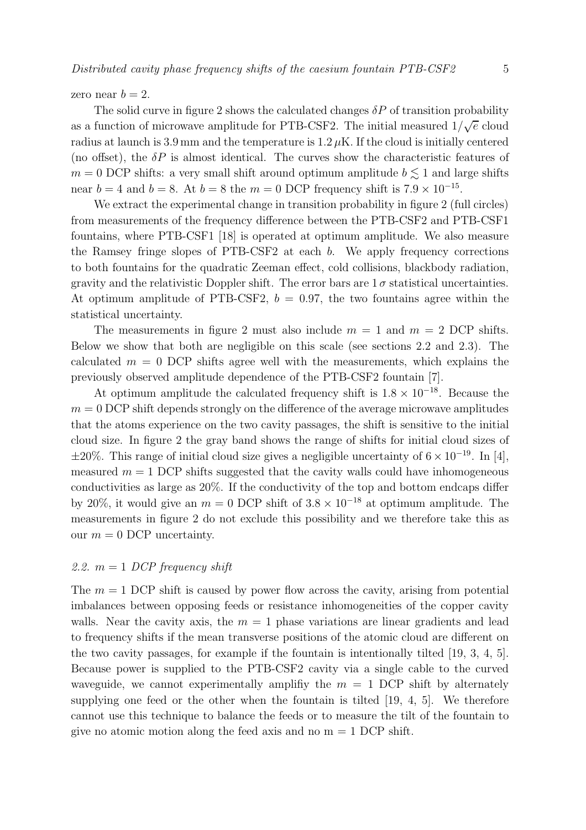zero near  $b = 2$ .

The solid curve in figure 2 shows the calculated changes  $\delta P$  of transition probability as a function of microwave amplitude for PTB-CSF2. The initial measured  $1/\sqrt{e}$  cloud radius at launch is 3.9 mm and the temperature is  $1.2 \mu$ K. If the cloud is initially centered (no offset), the  $\delta P$  is almost identical. The curves show the characteristic features of  $m = 0$  DCP shifts: a very small shift around optimum amplitude  $b \lesssim 1$  and large shifts near  $b = 4$  and  $b = 8$ . At  $b = 8$  the  $m = 0$  DCP frequency shift is  $7.9 \times 10^{-15}$ .

We extract the experimental change in transition probability in figure 2 (full circles) from measurements of the frequency difference between the PTB-CSF2 and PTB-CSF1 fountains, where PTB-CSF1 [18] is operated at optimum amplitude. We also measure the Ramsey fringe slopes of PTB-CSF2 at each b. We apply frequency corrections to both fountains for the quadratic Zeeman effect, cold collisions, blackbody radiation, gravity and the relativistic Doppler shift. The error bars are  $1\sigma$  statistical uncertainties. At optimum amplitude of PTB-CSF2,  $b = 0.97$ , the two fountains agree within the statistical uncertainty.

The measurements in figure 2 must also include  $m = 1$  and  $m = 2$  DCP shifts. Below we show that both are negligible on this scale (see sections 2.2 and 2.3). The calculated  $m = 0$  DCP shifts agree well with the measurements, which explains the previously observed amplitude dependence of the PTB-CSF2 fountain [7].

At optimum amplitude the calculated frequency shift is  $1.8 \times 10^{-18}$ . Because the  $m = 0$  DCP shift depends strongly on the difference of the average microwave amplitudes that the atoms experience on the two cavity passages, the shift is sensitive to the initial cloud size. In figure 2 the gray band shows the range of shifts for initial cloud sizes of  $\pm 20\%$ . This range of initial cloud size gives a negligible uncertainty of  $6 \times 10^{-19}$ . In [4], measured  $m = 1$  DCP shifts suggested that the cavity walls could have inhomogeneous conductivities as large as 20%. If the conductivity of the top and bottom endcaps differ by 20%, it would give an  $m = 0$  DCP shift of  $3.8 \times 10^{-18}$  at optimum amplitude. The measurements in figure 2 do not exclude this possibility and we therefore take this as our  $m = 0$  DCP uncertainty.

## 2.2.  $m = 1$  DCP frequency shift

The  $m = 1$  DCP shift is caused by power flow across the cavity, arising from potential imbalances between opposing feeds or resistance inhomogeneities of the copper cavity walls. Near the cavity axis, the  $m = 1$  phase variations are linear gradients and lead to frequency shifts if the mean transverse positions of the atomic cloud are different on the two cavity passages, for example if the fountain is intentionally tilted [19, 3, 4, 5]. Because power is supplied to the PTB-CSF2 cavity via a single cable to the curved waveguide, we cannot experimentally amplifiy the  $m = 1$  DCP shift by alternately supplying one feed or the other when the fountain is tilted [19, 4, 5]. We therefore cannot use this technique to balance the feeds or to measure the tilt of the fountain to give no atomic motion along the feed axis and no  $m = 1$  DCP shift.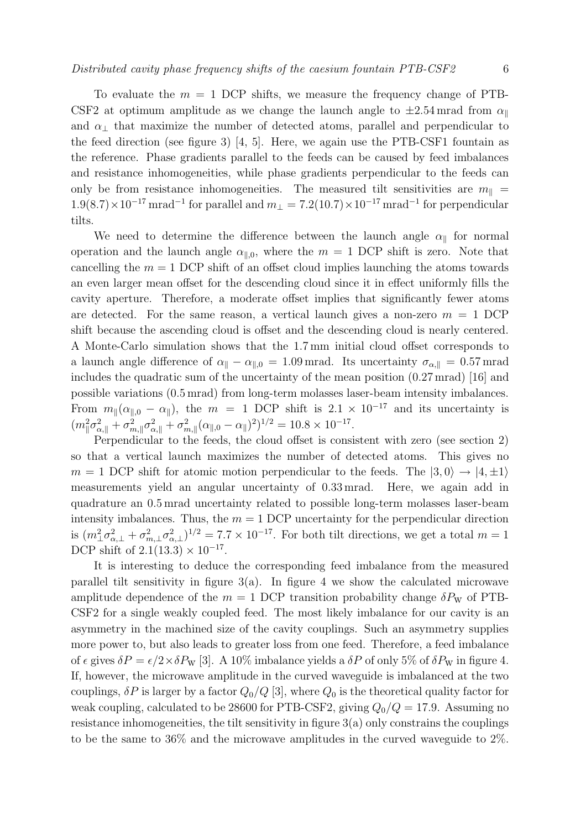To evaluate the  $m = 1$  DCP shifts, we measure the frequency change of PTB-CSF2 at optimum amplitude as we change the launch angle to  $\pm 2.54$  mrad from  $\alpha_{\parallel}$ and  $\alpha_{\perp}$  that maximize the number of detected atoms, parallel and perpendicular to the feed direction (see figure 3) [4, 5]. Here, we again use the PTB-CSF1 fountain as the reference. Phase gradients parallel to the feeds can be caused by feed imbalances and resistance inhomogeneities, while phase gradients perpendicular to the feeds can only be from resistance inhomogeneities. The measured tilt sensitivities are  $m_{\parallel}$  =  $1.9(8.7)\times10^{-17}$  mrad<sup>-1</sup> for parallel and  $m_{\perp} = 7.2(10.7)\times10^{-17}$  mrad<sup>-1</sup> for perpendicular tilts.

We need to determine the difference between the launch angle  $\alpha_{\parallel}$  for normal operation and the launch angle  $\alpha_{\parallel,0}$ , where the  $m = 1$  DCP shift is zero. Note that cancelling the  $m = 1$  DCP shift of an offset cloud implies launching the atoms towards an even larger mean offset for the descending cloud since it in effect uniformly fills the cavity aperture. Therefore, a moderate offset implies that significantly fewer atoms are detected. For the same reason, a vertical launch gives a non-zero  $m = 1$  DCP shift because the ascending cloud is offset and the descending cloud is nearly centered. A Monte-Carlo simulation shows that the 1.7 mm initial cloud offset corresponds to a launch angle difference of  $\alpha_{\parallel} - \alpha_{\parallel,0} = 1.09$  mrad. Its uncertainty  $\sigma_{\alpha,\parallel} = 0.57$  mrad includes the quadratic sum of the uncertainty of the mean position (0.27 mrad) [16] and possible variations (0.5 mrad) from long-term molasses laser-beam intensity imbalances. From  $m_{\parallel}(\alpha_{\parallel,0} - \alpha_{\parallel})$ , the  $m = 1$  DCP shift is  $2.1 \times 10^{-17}$  and its uncertainty is  $(m_{\parallel}^2 \sigma_{\alpha,\parallel}^2 + \sigma_{n}^2)$  $\frac{2}{m,\parallel}\sigma_{\alpha,\parallel}^2+\sigma_n^2$  $_{m,\parallel}^2(\alpha_{\parallel,0}-\alpha_{\parallel})^2)^{1/2}=10.8\times10^{-17}.$ 

Perpendicular to the feeds, the cloud offset is consistent with zero (see section 2) so that a vertical launch maximizes the number of detected atoms. This gives no  $m = 1$  DCP shift for atomic motion perpendicular to the feeds. The  $|3,0\rangle \rightarrow |4,\pm 1\rangle$ measurements yield an angular uncertainty of 0.33 mrad. Here, we again add in quadrature an 0.5 mrad uncertainty related to possible long-term molasses laser-beam intensity imbalances. Thus, the  $m = 1$  DCP uncertainty for the perpendicular direction is  $(m_\perp^2 \sigma_{\alpha,\perp}^2 + \sigma_{m,\perp}^2 \sigma_{\alpha,\perp}^2)^{1/2} = 7.7 \times 10^{-17}$ . For both tilt directions, we get a total  $m = 1$ DCP shift of  $2.1(13.3) \times 10^{-17}$ .

It is interesting to deduce the corresponding feed imbalance from the measured parallel tilt sensitivity in figure  $3(a)$ . In figure 4 we show the calculated microwave amplitude dependence of the  $m = 1$  DCP transition probability change  $\delta P_W$  of PTB-CSF2 for a single weakly coupled feed. The most likely imbalance for our cavity is an asymmetry in the machined size of the cavity couplings. Such an asymmetry supplies more power to, but also leads to greater loss from one feed. Therefore, a feed imbalance of  $\epsilon$  gives  $\delta P = \epsilon/2 \times \delta P_{\rm W}$  [3]. A 10% imbalance yields a  $\delta P$  of only 5% of  $\delta P_{\rm W}$  in figure 4. If, however, the microwave amplitude in the curved waveguide is imbalanced at the two couplings,  $\delta P$  is larger by a factor  $Q_0/Q$  [3], where  $Q_0$  is the theoretical quality factor for weak coupling, calculated to be 28600 for PTB-CSF2, giving  $Q_0/Q = 17.9$ . Assuming no resistance inhomogeneities, the tilt sensitivity in figure  $3(a)$  only constrains the couplings to be the same to 36% and the microwave amplitudes in the curved waveguide to 2%.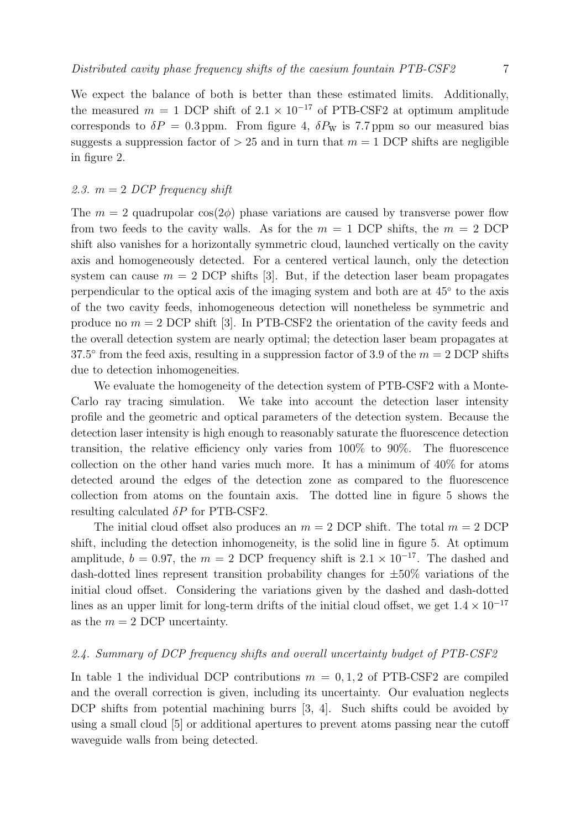We expect the balance of both is better than these estimated limits. Additionally, the measured  $m = 1$  DCP shift of  $2.1 \times 10^{-17}$  of PTB-CSF2 at optimum amplitude corresponds to  $\delta P = 0.3$  ppm. From figure 4,  $\delta P_{\rm w}$  is 7.7 ppm so our measured bias suggests a suppression factor of  $> 25$  and in turn that  $m = 1$  DCP shifts are negligible in figure 2.

## 2.3.  $m = 2$  DCP frequency shift

The  $m = 2$  quadrupolar  $\cos(2\phi)$  phase variations are caused by transverse power flow from two feeds to the cavity walls. As for the  $m = 1$  DCP shifts, the  $m = 2$  DCP shift also vanishes for a horizontally symmetric cloud, launched vertically on the cavity axis and homogeneously detected. For a centered vertical launch, only the detection system can cause  $m = 2$  DCP shifts [3]. But, if the detection laser beam propagates perpendicular to the optical axis of the imaging system and both are at  $45^{\circ}$  to the axis of the two cavity feeds, inhomogeneous detection will nonetheless be symmetric and produce no  $m = 2$  DCP shift [3]. In PTB-CSF2 the orientation of the cavity feeds and the overall detection system are nearly optimal; the detection laser beam propagates at 37.5 $\degree$  from the feed axis, resulting in a suppression factor of 3.9 of the  $m = 2$  DCP shifts due to detection inhomogeneities.

We evaluate the homogeneity of the detection system of PTB-CSF2 with a Monte-Carlo ray tracing simulation. We take into account the detection laser intensity profile and the geometric and optical parameters of the detection system. Because the detection laser intensity is high enough to reasonably saturate the fluorescence detection transition, the relative efficiency only varies from 100% to 90%. The fluorescence collection on the other hand varies much more. It has a minimum of 40% for atoms detected around the edges of the detection zone as compared to the fluorescence collection from atoms on the fountain axis. The dotted line in figure 5 shows the resulting calculated  $\delta P$  for PTB-CSF2.

The initial cloud offset also produces an  $m = 2$  DCP shift. The total  $m = 2$  DCP shift, including the detection inhomogeneity, is the solid line in figure 5. At optimum amplitude,  $b = 0.97$ , the  $m = 2$  DCP frequency shift is  $2.1 \times 10^{-17}$ . The dashed and dash-dotted lines represent transition probability changes for  $\pm 50\%$  variations of the initial cloud offset. Considering the variations given by the dashed and dash-dotted lines as an upper limit for long-term drifts of the initial cloud offset, we get  $1.4 \times 10^{-17}$ as the  $m = 2$  DCP uncertainty.

## 2.4. Summary of DCP frequency shifts and overall uncertainty budget of PTB-CSF2

In table 1 the individual DCP contributions  $m = 0, 1, 2$  of PTB-CSF2 are compiled and the overall correction is given, including its uncertainty. Our evaluation neglects DCP shifts from potential machining burrs [3, 4]. Such shifts could be avoided by using a small cloud [5] or additional apertures to prevent atoms passing near the cutoff waveguide walls from being detected.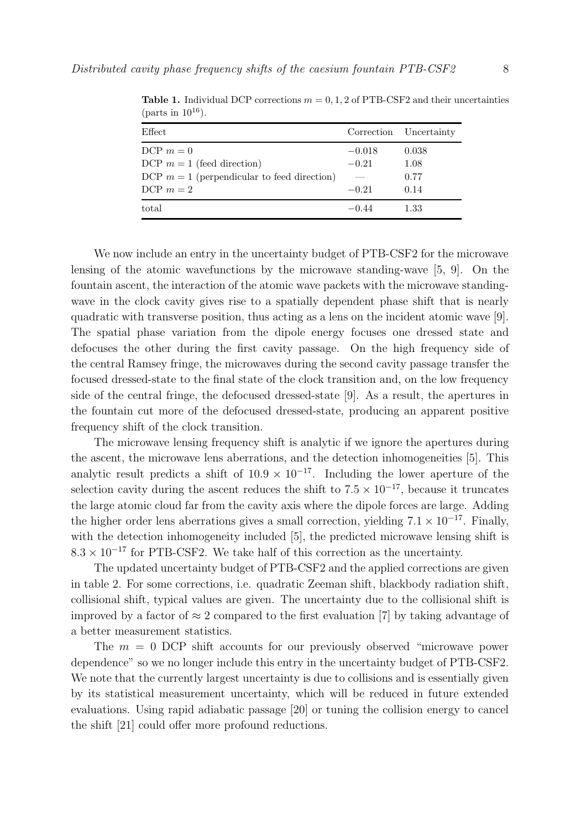| Effect                                        |          | Correction Uncertainty |
|-----------------------------------------------|----------|------------------------|
| DCP $m = 0$                                   | $-0.018$ | 0.038                  |
| DCP $m = 1$ (feed direction)                  | $-0.21$  | 1.08                   |
| DCP $m = 1$ (perpendicular to feed direction) |          | 0.77                   |
| DCP $m = 2$                                   | $-0.21$  | 0.14                   |
| total                                         | $-0.44$  | 1.33                   |

**Table 1.** Individual DCP corrections  $m = 0, 1, 2$  of PTB-CSF2 and their uncertainties (parts in  $10^{16}$ ).

We now include an entry in the uncertainty budget of PTB-CSF2 for the microwave lensing of the atomic wavefunctions by the microwave standing-wave [5, 9]. On the fountain ascent, the interaction of the atomic wave packets with the microwave standingwave in the clock cavity gives rise to a spatially dependent phase shift that is nearly quadratic with transverse position, thus acting as a lens on the incident atomic wave [9]. The spatial phase variation from the dipole energy focuses one dressed state and defocuses the other during the first cavity passage. On the high frequency side of the central Ramsey fringe, the microwaves during the second cavity passage transfer the focused dressed-state to the final state of the clock transition and, on the low frequency side of the central fringe, the defocused dressed-state [9]. As a result, the apertures in the fountain cut more of the defocused dressed-state, producing an apparent positive frequency shift of the clock transition.

The microwave lensing frequency shift is analytic if we ignore the apertures during the ascent, the microwave lens aberrations, and the detection inhomogeneities [5]. This analytic result predicts a shift of  $10.9 \times 10^{-17}$ . Including the lower aperture of the selection cavity during the ascent reduces the shift to  $7.5 \times 10^{-17}$ , because it truncates the large atomic cloud far from the cavity axis where the dipole forces are large. Adding the higher order lens aberrations gives a small correction, yielding  $7.1 \times 10^{-17}$ . Finally, with the detection inhomogeneity included [5], the predicted microwave lensing shift is  $8.3 \times 10^{-17}$  for PTB-CSF2. We take half of this correction as the uncertainty.

The updated uncertainty budget of PTB-CSF2 and the applied corrections are given in table 2. For some corrections, i.e. quadratic Zeeman shift, blackbody radiation shift, collisional shift, typical values are given. The uncertainty due to the collisional shift is improved by a factor of  $\approx 2$  compared to the first evaluation [7] by taking advantage of a better measurement statistics.

The  $m = 0$  DCP shift accounts for our previously observed "microwave power dependence" so we no longer include this entry in the uncertainty budget of PTB-CSF2. We note that the currently largest uncertainty is due to collisions and is essentially given by its statistical measurement uncertainty, which will be reduced in future extended evaluations. Using rapid adiabatic passage [20] or tuning the collision energy to cancel the shift [21] could offer more profound reductions.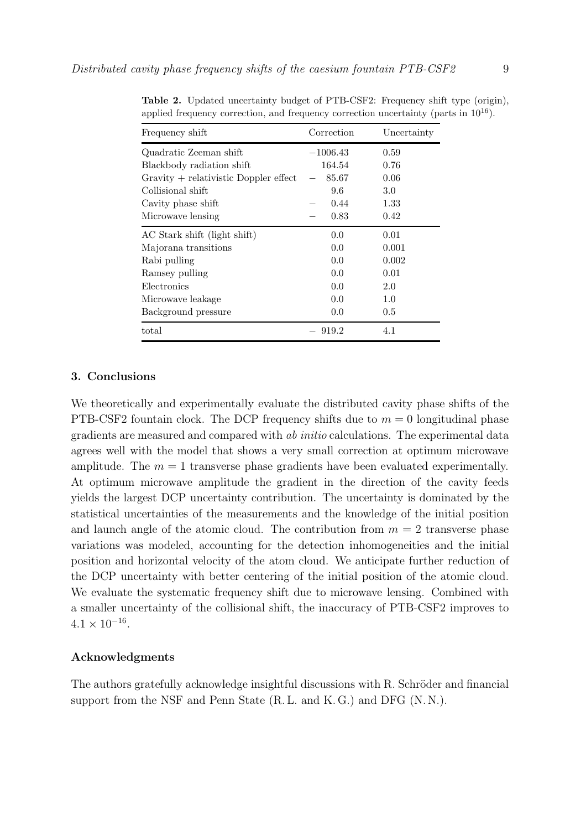| Frequency shift                         | Correction | Uncertainty |
|-----------------------------------------|------------|-------------|
| Quadratic Zeeman shift                  | $-1006.43$ | 0.59        |
| Blackbody radiation shift               | 164.54     | 0.76        |
| $Gravity + relativistic Doppler effect$ | 85.67      | 0.06        |
| Collisional shift                       | 9.6        | 3.0         |
| Cavity phase shift                      | 0.44       | 1.33        |
| Microwave lensing                       | 0.83       | 0.42        |
| AC Stark shift (light shift)            | 0.0        | 0.01        |
| Majorana transitions                    | 0.0        | 0.001       |
| Rabi pulling                            | 0.0        | 0.002       |
| Ramsey pulling                          | 0.0        | 0.01        |
| Electronics                             | 0.0        | 2.0         |
| Microwave leakage                       | 0.0        | 1.0         |
| Background pressure                     | 0.0        | 0.5         |
| total                                   | 919.2      | 4.1         |

Table 2. Updated uncertainty budget of PTB-CSF2: Frequency shift type (origin), applied frequency correction, and frequency correction uncertainty (parts in  $10^{16}$ ).

#### 3. Conclusions

We theoretically and experimentally evaluate the distributed cavity phase shifts of the PTB-CSF2 fountain clock. The DCP frequency shifts due to  $m = 0$  longitudinal phase gradients are measured and compared with ab initio calculations. The experimental data agrees well with the model that shows a very small correction at optimum microwave amplitude. The  $m = 1$  transverse phase gradients have been evaluated experimentally. At optimum microwave amplitude the gradient in the direction of the cavity feeds yields the largest DCP uncertainty contribution. The uncertainty is dominated by the statistical uncertainties of the measurements and the knowledge of the initial position and launch angle of the atomic cloud. The contribution from  $m = 2$  transverse phase variations was modeled, accounting for the detection inhomogeneities and the initial position and horizontal velocity of the atom cloud. We anticipate further reduction of the DCP uncertainty with better centering of the initial position of the atomic cloud. We evaluate the systematic frequency shift due to microwave lensing. Combined with a smaller uncertainty of the collisional shift, the inaccuracy of PTB-CSF2 improves to  $4.1 \times 10^{-16}$ .

## Acknowledgments

The authors gratefully acknowledge insightful discussions with R. Schröder and financial support from the NSF and Penn State (R.L. and K.G.) and DFG (N.N.).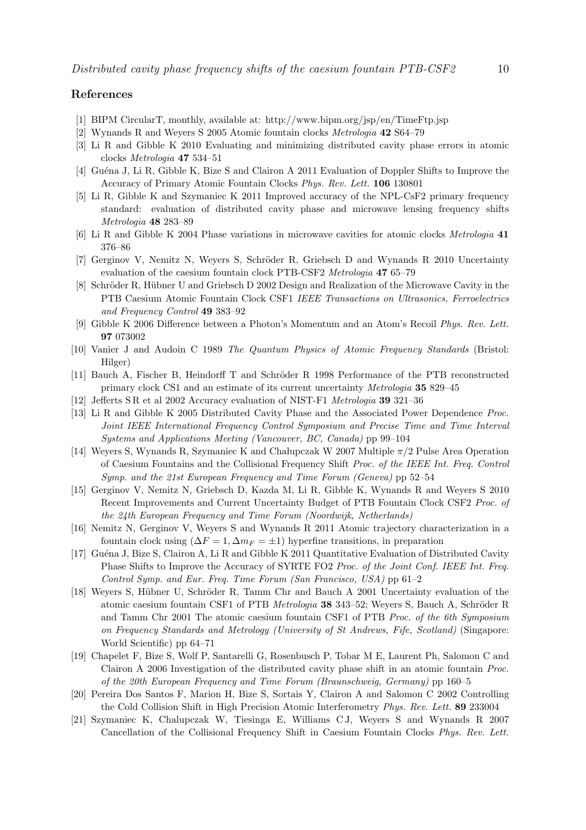### References

- [1] BIPM CircularT, monthly, available at: http://www.bipm.org/jsp/en/TimeFtp.jsp
- [2] Wynands R and Weyers S 2005 Atomic fountain clocks Metrologia 42 S64–79
- [3] Li R and Gibble K 2010 Evaluating and minimizing distributed cavity phase errors in atomic clocks Metrologia 47 534–51
- [4] Guéna J, Li R, Gibble K, Bize S and Clairon A 2011 Evaluation of Doppler Shifts to Improve the Accuracy of Primary Atomic Fountain Clocks Phys. Rev. Lett. 106 130801
- [5] Li R, Gibble K and Szymaniec K 2011 Improved accuracy of the NPL-CsF2 primary frequency standard: evaluation of distributed cavity phase and microwave lensing frequency shifts Metrologia 48 283–89
- [6] Li R and Gibble K 2004 Phase variations in microwave cavities for atomic clocks Metrologia 41 376–86
- [7] Gerginov V, Nemitz N, Weyers S, Schröder R, Griebsch D and Wynands R 2010 Uncertainty evaluation of the caesium fountain clock PTB-CSF2 Metrologia 47 65–79
- [8] Schröder R, Hübner U and Griebsch D 2002 Design and Realization of the Microwave Cavity in the PTB Caesium Atomic Fountain Clock CSF1 IEEE Transactions on Ultrasonics, Ferroelectrics and Frequency Control 49 383–92
- [9] Gibble K 2006 Difference between a Photon's Momentum and an Atom's Recoil Phys. Rev. Lett. 97 073002
- [10] Vanier J and Audoin C 1989 The Quantum Physics of Atomic Frequency Standards (Bristol: Hilger)
- [11] Bauch A, Fischer B, Heindorff T and Schröder R 1998 Performance of the PTB reconstructed primary clock CS1 and an estimate of its current uncertainty Metrologia 35 829–45
- [12] Jefferts S R et al 2002 Accuracy evaluation of NIST-F1 Metrologia 39 321–36
- [13] Li R and Gibble K 2005 Distributed Cavity Phase and the Associated Power Dependence Proc. Joint IEEE International Frequency Control Symposium and Precise Time and Time Interval Systems and Applications Meeting (Vancouver, BC, Canada) pp 99–104
- [14] Weyers S, Wynands R, Szymaniec K and Chalupczak W 2007 Multiple  $\pi/2$  Pulse Area Operation of Caesium Fountains and the Collisional Frequency Shift Proc. of the IEEE Int. Freq. Control Symp. and the 21st European Frequency and Time Forum (Geneva) pp 52–54
- [15] Gerginov V, Nemitz N, Griebsch D, Kazda M, Li R, Gibble K, Wynands R and Weyers S 2010 Recent Improvements and Current Uncertainty Budget of PTB Fountain Clock CSF2 Proc. of the 24th European Frequency and Time Forum (Noordwijk, Netherlands)
- [16] Nemitz N, Gerginov V, Weyers S and Wynands R 2011 Atomic trajectory characterization in a fountain clock using  $(\Delta F = 1, \Delta m_F = \pm 1)$  hyperfine transitions, in preparation
- [17] Guéna J, Bize S, Clairon A, Li R and Gibble K 2011 Quantitative Evaluation of Distributed Cavity Phase Shifts to Improve the Accuracy of SYRTE FO2 Proc. of the Joint Conf. IEEE Int. Freq. Control Symp. and Eur. Freq. Time Forum (San Francisco, USA) pp 61–2
- [18] Weyers S, Hübner U, Schröder R, Tamm Chr and Bauch A 2001 Uncertainty evaluation of the atomic caesium fountain CSF1 of PTB Metrologia 38 343–52; Weyers S, Bauch A, Schröder R and Tamm Chr 2001 The atomic caesium fountain CSF1 of PTB Proc. of the 6th Symposium on Frequency Standards and Metrology (University of St Andrews, Fife, Scotland) (Singapore: World Scientific) pp 64–71
- [19] Chapelet F, Bize S, Wolf P, Santarelli G, Rosenbusch P, Tobar M E, Laurent Ph, Salomon C and Clairon A 2006 Investigation of the distributed cavity phase shift in an atomic fountain Proc. of the 20th European Frequency and Time Forum (Braunschweig, Germany) pp 160–5
- [20] Pereira Dos Santos F, Marion H, Bize S, Sortais Y, Clairon A and Salomon C 2002 Controlling the Cold Collision Shift in High Precision Atomic Interferometry Phys. Rev. Lett. 89 233004
- [21] Szymaniec K, Chalupczak W, Tiesinga E, Williams C J, Weyers S and Wynands R 2007 Cancellation of the Collisional Frequency Shift in Caesium Fountain Clocks Phys. Rev. Lett.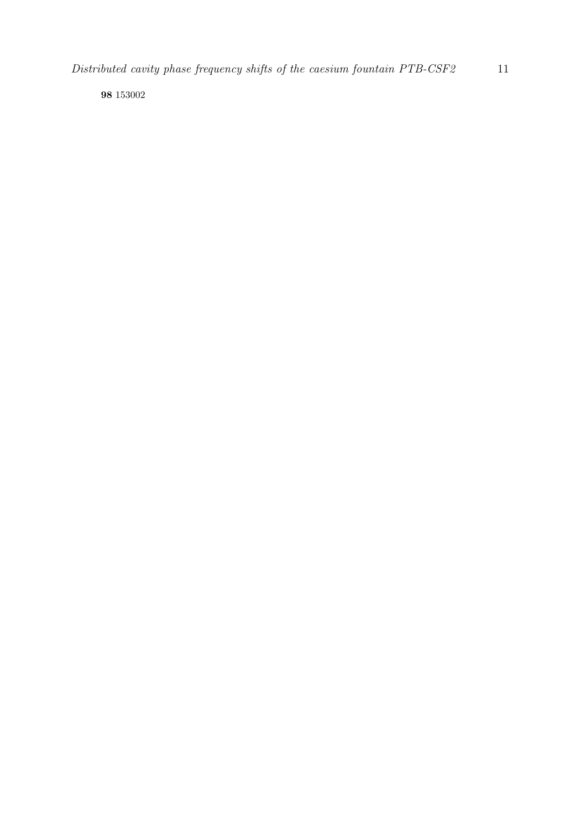98 153002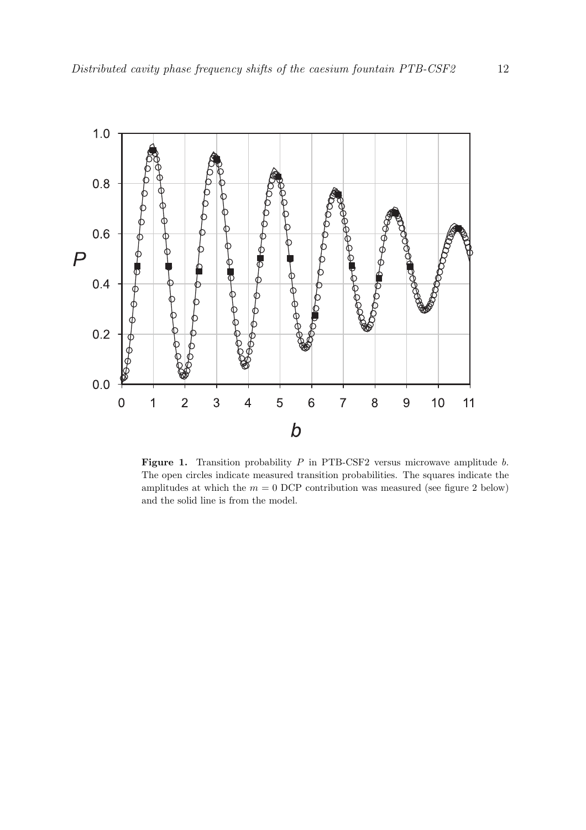

Figure 1. Transition probability  $P$  in PTB-CSF2 versus microwave amplitude  $b$ . The open circles indicate measured transition probabilities. The squares indicate the amplitudes at which the  $m = 0$  DCP contribution was measured (see figure 2 below) and the solid line is from the model.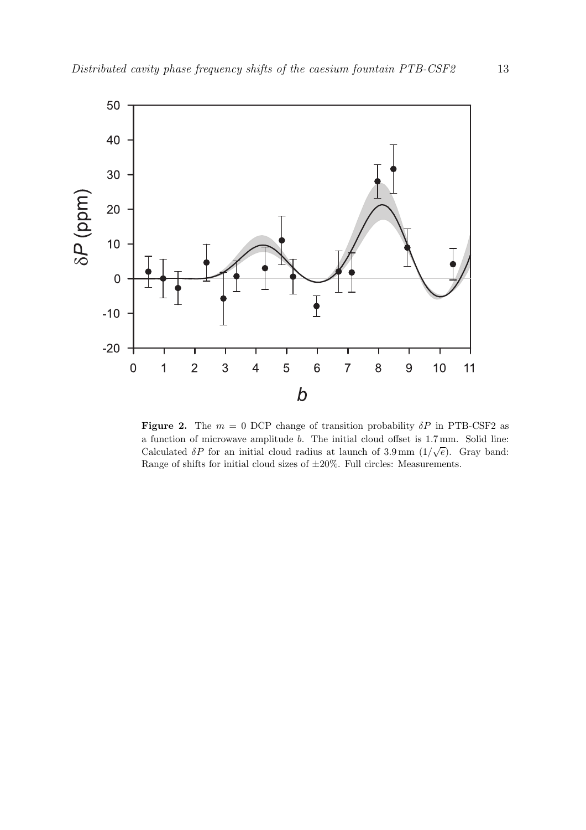

**Figure 2.** The  $m = 0$  DCP change of transition probability  $\delta P$  in PTB-CSF2 as a function of microwave amplitude b. The initial cloud offset is 1.7mm. Solid line: Calculated  $\delta P$  for an initial cloud radius at launch of 3.9 mm  $(1/\sqrt{e})$ . Gray band: Range of shifts for initial cloud sizes of  $\pm 20\%$  . Full circles: Measurements.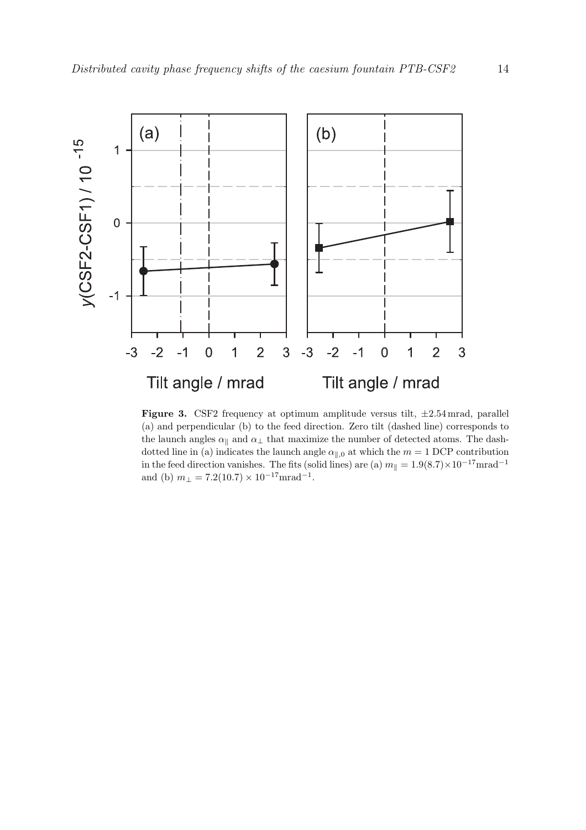

**Figure 3.** CSF2 frequency at optimum amplitude versus tilt,  $\pm 2.54$  mrad, parallel (a) and perpendicular (b) to the feed direction. Zero tilt (dashed line) corresponds to the launch angles  $\alpha_{\parallel}$  and  $\alpha_{\perp}$  that maximize the number of detected atoms. The dashdotted line in (a) indicates the launch angle  $\alpha_{\parallel,0}$  at which the  $m = 1$  DCP contribution in the feed direction vanishes. The fits (solid lines) are (a)  $m_{\parallel} = 1.9(8.7) \times 10^{-17}$ mrad<sup>-1</sup> and (b)  $m_{\perp} = 7.2(10.7) \times 10^{-17} \text{mrad}^{-1}$ .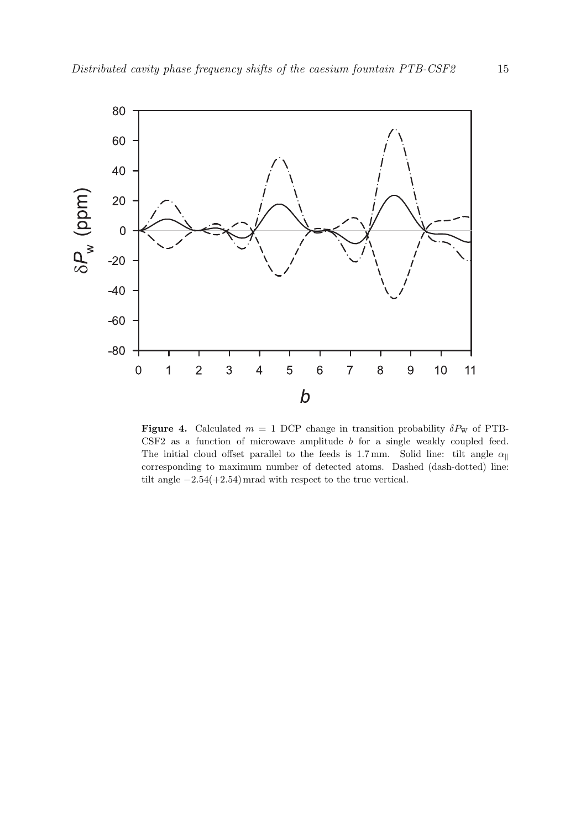

**Figure 4.** Calculated  $m = 1$  DCP change in transition probability  $\delta P_{\rm W}$  of PTB-CSF2 as a function of microwave amplitude b for a single weakly coupled feed. The initial cloud offset parallel to the feeds is 1.7mm. Solid line: tilt angle  $\alpha_{\parallel}$ corresponding to maximum number of detected atoms. Dashed (dash-dotted) line: tilt angle  $-2.54(+2.54)$  mrad with respect to the true vertical.